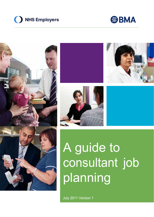







A guide to consultant job planning

July 2011 Version 1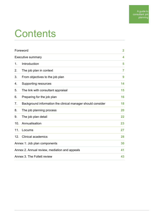# <span id="page-1-0"></span>**Contents**

| Foreword |                                                             |                |
|----------|-------------------------------------------------------------|----------------|
|          | <b>Executive summary</b>                                    | 4              |
| 1.       | Introduction                                                | 5              |
| 2.       | The job plan in context                                     | $\overline{7}$ |
| 3.       | From objectives to the job plan                             | 9              |
| 4.       | <b>Supporting resources</b>                                 | 14             |
| 5.       | The link with consultant appraisal                          | 15             |
| 6.       | Preparing for the job plan                                  | 16             |
| 7.       | Background information the clinical manager should consider | 18             |
| 8.       | The job planning process                                    | 20             |
| 9.       | The job plan detail                                         | 22             |
| 10.      | Annualisation                                               | 23             |
| 11.      | Locums                                                      | 27             |
| 12.      | <b>Clinical academics</b>                                   | 28             |
|          | Annex 1: Job plan components                                | 30             |
|          | Annex 2. Annual review, mediation and appeals               | 41             |
|          | Annex 3. The Follett review                                 | 43             |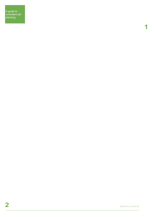A guide to consultant job planning

**1**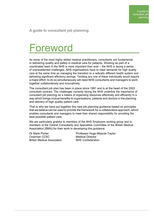### <span id="page-3-0"></span>**A guide to consultant job planning**

### Foreword

As some of the most highly skilled medical practitioners, consultants are fundamental in delivering quality and safety in medical care for patients. Working as part of a coordinated team in the NHS is more important than ever – the NHS is facing a series of unprecedented challenges. NHS organisations have to meet demands for high quality care at the same time as managing the transition to a radically different health system and delivering significant efficiency savings. Tackling any one of these individually would require a major effort; to do so simultaneously will need NHS consultants and managers to work together collaboratively and innovatively.

The consultant job plan has been in place since 1991 and is at the heart of the 2003 consultant contract. The challenges currently facing the NHS underline the importance of consultant job planning as a means of organising resources effectively and efficiently in a way which brings mutual benefits to organisations, patients and doctors in the planning and delivery of high quality patient care.

That is why we have put together this new job planning guidance based on principles that we believe can be used to provide the framework for a collaborative approach, which enables consultants and managers to meet their shared responsibility for providing the best possible patient care.

We are particularly grateful to members of the NHS Employers working group and to members of the Central Consultants and Specialists Committee of the British Medical Association (BMA) for their work in developing this guidance.

Chairman CCSC<br>British Medical Association<br>
MHS Confederation British Medical Association

Dr Mark Porter **Professor Hugo Mascie-Taylor**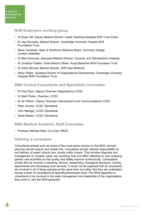### **NHS Employers working group**

- Dr Bryan Gill, Deputy Medical Director, Leeds Teaching Hospitals NHS Trust (Chair)
- Dr Jag Ahluwalia, Medical Director, Cambridge University Hospital NHS Foundation Trust
- Steve Campbell, Head of Workforce Medicine Board, University College London Hospitals
- Dr Mair Edmunds, Associate Medical Director, Coventry and Warwickshire Hospitals
- Dr Jonathan Fielden, Chief Medical Officer, Royal Berkshire NHS Foundation Trust
- Dr Kathy McLean Medical Director, NHS East Midlands
- Alison Risker, Assistant Director of Organisational Development, Cambridge University Hospital NHS Foundation Trust

### **BMA Central Consultants and Specialists Committee**

- Dr Paul Flynn, Deputy Chairman (Negotiations) CCSC
- Dr Mark Porter, Chairman, CCSC
- Dr Ian Wilson, Deputy Chairman (Development and Communications) CCSC
- Peter Gordon, CCSC Secretariat
- John Maingay, CCSC Secretariat
- Sarah Baston, CCSC Secretariat

#### **BMA Medical Academic Staff Committee**

• Professor Michael Rees, Co-Chair, MASC

#### **Defining a consultant**

Consultants should work as some of the most senior doctors in the NHS, and job planning should support and enable this. Consultants accept ultimate responsibility for and delivery of expert clinical care, usually within a team. This includes diagnosis and management of complex cases and spending time and effort reflecting on and reviewing patient care activities so that quality and safety improve continuously. Consultants should also be involved in teaching, training, researching, managerial decisions, running departments and developing local services. It would not be expected that all consultants are involved in all of these activities at the same time, but rather that they are undertaken across a team of consultants at specialty/directorate level. The NHS depends on consultants to be involved in the wider management and leadership of the organisations they work in, and the NHS generally.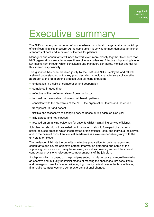# <span id="page-5-0"></span>Executive summary<br>The NHS is undergoing a period of unprecedented structural change against a backdrop

of significant financial pressure. At the same time it is striving to meet demands for higher standards of care and improved outcomes for patients.

Managers and consultants will need to work even more closely together to ensure that NHS organisations are able to meet these diverse challenges. Effective job planning is one key mechanism through which consultants and managers can agree, monitor and deliver this shared responsibility.

This guidance has been prepared jointly by the BMA and NHS Employers and reflects a shared understanding of the key principles which should characterise a collaborative approach to the job planning process. Job planning should be:

- undertaken in <sup>a</sup> spirit of collaboration and cooperation
- completed in good time
- reflective of the professionalism of being a doctor
- focused on measurable outcomes that benefit patients
- consistent with the objectives of the NHS, the organisation, teams and individuals
- transparent, fair and honest
- flexible and responsive to changing service needs during each job plan year
- fully agreed and not imposed
- focused on enhancing outcomes for patients whilst maintaining service efficiency.

Job planning should not be carried out in isolation. It should form part of a dynamic, patient-focused process which incorporates organisational, team and individual objectives and in the case of consultant clinical academics is always undertaken jointly with the university employer.

The guidance highlights the benefits of effective preparation for both managers and consultants and covers objective setting, information gathering and some of the supporting resources which may be required, as well as covering some of the current contractual provisions relevant to component parts of the job plan.

A job plan, which is based on the principles set out in this guidance, is more likely to be an effective and mutually beneficial means of meeting the challenges that consultants and managers currently face in delivering high quality patient care in the face of testing financial circumstances and complex organisational change.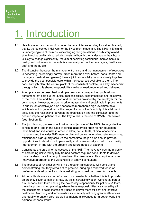# <span id="page-6-0"></span>1. Introduction

- 1.1 Healthcare across the world is under the most intense scrutiny for value obtained; that is, the outcomes it delivers for the investment made in it. The NHS in England is undergoing one of the most wide-ranging reorganisations in its history aimed at enhancing quality whist reducing costs. Although the landscape of healthcare is likely to change significantly, the aim of achieving continuous improvements in quality and outcomes for patients is a necessity for doctors, managers, healthcare staff and the public.
- 1.2 The distinction between the management of care and the management of resources is becoming increasingly narrow. Now, more than ever before, consultants and managers (medical and general) have a joint responsibility to work closely together to provide the best possible care within the resources available to them. The consultant job plan, the central plank of the consultant contract, is a key mechanism through which this shared responsibility can be agreed, monitored and delivered.
- 1.3 A job plan can be described in simple terms as a prospective, professional agreement that sets out the duties, responsibilities, accountabilities and objectives of the consultant and the support and resources provided by the employer for the coming year. However, in order to drive measurable and sustainable improvements in quality, an effective job plan needs to be more than a high level timetable which sets out in general terms the range of a consultant's activity. It is vital that it articulates the relationship between the organisation and the consultant and the desired impact on patient care. The key to this is the use of SMART objectives (see [Section](#page-11-0) 3).
- 1.4 The job planning process should align the objectives of the NHS, the organisation, clinical teams (and in the case of clinical academics, their higher education institution) and individuals in order to allow, consultants, clinical academics, managers and the wider NHS team to plan and deliver innovative, safe, responsive, efficient and high-quality care. At the same time the job plan should provide opportunities to develop both personally and professionally to help drive quality improvement in line with the present and future needs of patients.
- 1.5 Consultants are crucial to the success of the NHS. The move towards the majority of care being delivered by fully-trained doctors requires consultants to deliver more hands-on care than might have been the case before. This requires a more innovative approach to the working life of today's consultant.
- 1.6 The prospect of revalidation will drive a greater transparency with consultants demonstrating that they remain fit to practise, bringing a renewed focus on professional development and demonstrating improved outcomes for patients.
- 1.7 All consultants work as part of a team of consultants, whether this is to provide emergency cover as part of a rota, or, as is increasingly seen, working as part of a multi-consultant team sharing the day-to-day responsibility for patients. A teambased approach to job planning, where these responsibilities are shared by all the consultants is being increasingly used to deliver more efficient and effective healthcare. Matching workforce availability to activity will bring greater efficiencies and quality to patient care, as well as making allowances for a better work–life balance for consultants.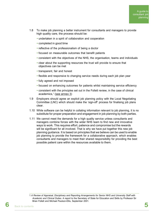- 1.8 To make job planning a better instrument for consultants and managers to provide high quality care, the process should be:
	- undertaken in <sup>a</sup> spirit of collaboration and cooperation
	- completed in good time
	- reflective of the professionalism of being a doctor
	- •focused on measurable outcomes that benefit patients
	- consistent with the objectives of the NHS, the organisation, teams and individuals
	- clear about the supporting resources the trust will provide to ensure that objectives can be met
	- transparent, fair and honest
	- •flexible and responsive to changing service needs during each job plan year
	- fully agreed and not imposed
	- •focused on enhancing outcomes for patients whilst maintaining service efficiency
	- consistent with the principles set out in the Follett review, in the case of clinical academics, $1$  (see [annex](#page-49-0) 3)
- 1.9 Employers should agree an explicit job planning policy with the Local Negotiating Committee (LNC) which should make the 'sign-off' process for finalising job plans clear.
- 1.10 While software can be helpful in collating information relevant to job planning, it is no substitute for proper preparation and engagement in job planning by both parties.
- 1.11 We cannot meet the demands for a high quality service unless consultants and managers combine forces with the wider NHS team to find new and innovative ways to work. This requires effort, patience and compromise but the rewards will be significant for all involved. That is why we have put together this new job planning guidance. It is based on principles that we believe can be used to enable job planning to provide the framework for a collaborative approach, which enables consultants and managers to meet their shared responsibility for providing the best possible patient care within the resources available to them.

**6**

Back to [contents](#page-1-0) **5** 1 *A Review of Appraisal, Disciplinary and Reporting Arrangements for Senior NHS and University Staff with Academic and Clinical Duties*. A report to the Secretary of State for Education and Skills by Professor Sir Brian Follett and Michael Paulson-Ellis, September 2001.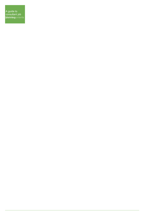A guide to consultant job **Banning** ontents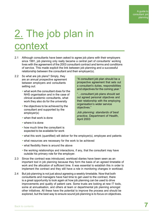# <span id="page-9-0"></span>2. The job plan in context

- 2.1 Although consultants have been asked to agree job plans with their employers since 1991, job planning only really became a central part of consultants' working lives with the agreement of the 2003 consultant contract and terms and conditions of service. This made explicit the link between job planning and a successful relationship between the consultant and their employer(s).
- 2.2 So what are job plans? Simply, they are an annual prospective agreement between employers and consultants setting out:
	- what work the consultant does for the NHS organisation and in the case of clinical academic consultants, what work they also do for the university
	- the objectives to be achieved by the consultant and supported by the employer(s)
	- when that work is done
	- where it is done
	- how much time the consultant is expected to be available for work
	- what this work (quantified) will deliver for the employer(s), employee and patients
	- what resources are necessary for the work to be achieved
	- what flexibility there is around the above
	- •the working relationships and interactions, if any, that the consultant may have outside his primary role for the employer.
- 2.3 Since the contract was introduced, workload diaries have been seen as an important tool in job planning because they form the basis of an agreed timetable of work and the allocation of sufficient time. It was essential to establish this in order to implement the contract and they still have a role in monitoring changes in workload.
- 2.4 But job planning is not just about agreeing a weekly timetable. Now that both consultants and managers have had time to get used to the contract, there is a great opportunity to look again at how job planning can be used to drive improvements and quality of patient care. Some trusts are looking at new IT tools, some at annualisation, and others at team or departmental job planning amongst other initiatives. All these have the potential to improve the process and should be explored, but the best way to ensure sound job planning is to focus on objectives.

"A consultant job plan should be a prospective agreement that sets out a consultant's duties, responsibilities and objectives for the coming year."

"…consultant job plans should set out agreed personal objectives and their relationship with the employing organisation's wider service objectives."

*Job planning: standards of best practice*, Department of Health, April 2003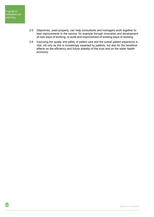- 2.5 Objectives, used properly, can help consultants and managers work together to lead improvements to the service, for example through innovation and development of new ways of working, or audit and improvement of existing ways of working.
- 2.6 Improving the quality and safety of patient care and the overall patient experience is vital, not only as this is increasingly expected by patients, but also for the beneficial effects on the efficiency and future stability of the trust and on the wider health economy.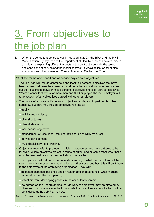# <span id="page-11-0"></span>3. From objectives to the job plan

3.1 When the consultant contract was introduced in 2003, the BMA and the NHS Modernisation Agency (part of the Department of Health) published several pieces of guidance explaining different aspects of the contract alongside the terms and conditions of service and the model contract. It was also issued for clinical academics with the Consultant Clinical Academic Contract in 2004.

#### What the terms and conditions of service says about objectives

- The Job Plan will include appropriate and identified personal objectives that have been agreed between the consultant and his or her clinical manager and will set out the relationship between these personal objectives and local service objectives. Where a consultant works for more than one NHS employer, the lead employer will take account of any objectives agreed with other employers.
- The nature of <sup>a</sup> consultant's personal objectives will depend in part on his or her specialty, but they may include objectives relating to:
	- o quality;
	- o activity and efficiency;
	- o clinical outcomes;
	- o clinical standards;
	- o local service objectives;
	- o management of resources, including efficient use of NHS resources;
	- o service development;
	- o multi-disciplinary team working.
- Objectives may refer to protocols, policies, procedures and work patterns to be followed. Where objectives are set in terms of output and outcome measures, these must be reasonable and agreement should be reached.
- The objectives will set out a mutual understanding of what the consultant will be seeking to achieve over the annual period that they cover and how this will contribute to the objectives of the employing organisation. They will:
	- o be based on past experience and on reasonable expectations of what might be achievable over the next period;
	- o reflect different, developing phases in the consultant's career;
	- o be agreed on the understanding that delivery of objectives may be affected by changes in circumstances or factors outside the consultant's control, which will be considered at the Job Plan review.

Source: *Terms and conditions of service – consultants (England)* 2003. Schedule 3, paragraphs 3.10: 3.13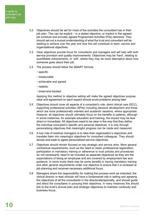- 3.2 Objectives should be set for most of the activities the consultant has in their job plan. This can be explicit – in a stated objective, or implicit in the agreed job schedule and annually agreed Programmed Activities (PAs) delivered. They should set out a mutual understanding of what the trust and consultant will be seeking to achieve over the year and how this will contribute to team, service and organisational objectives.
- 3.3 Clear objectives provide focus for consultants and managers and will help with both service provision and quality improvements. Objectives may be 'hard', relating to quantifiable achievements, or 'soft', where they may be more descriptive about how someone goes about their job.
- 3.4 The process should follow the SMART formula:
	- specific
	- measurable
	- achievable and agreed
	- realistic
	- timed and tracked

Applying this method to objective setting will make the agreed objectives purpose clear and agreement on each aspect should avoid problems arising later.

- 3.5 Objectives should cover all aspects of a consultant's role; direct clinical care (DCC), supporting professional activities (SPAs) including personal development and those which are more professionally oriented and academic sessions, where appropriate. However, all objectives should ultimately focus on the benefits to patients, although in some instances, for example education and training, the impact may be less direct or immediate. All objectives need to be clear in the way that they define the individual consultant's specific and personal objectives. It is only through personalising objectives that meaningful progress can be made and measured.
- 3.6 A key role of medical managers is to take their organisation's objectives and translate them into meaningful objectives for consultant colleagues. They should devise and seek to agree personalised service objectives.
- 3.7 Objectives should remain focused on key strategic and service aims. More general contractual requirements, such as the need to retain professional registration, participation in mandatory training or adherence to trust policies and procedures do not necessarily need to be included as separate objectives as they are the expectations of being an employee and are covered by employment law and guidance. In some trusts there may be some benefits in having mandatory training and other general requirements under one objective to ensure that it is reviewed at job planning and receives necessary additional focus.
- 3.8 Managers share the responsibility for making the process work as intended; the clinical director or lead clinician will have a fundamental role in setting and agreeing the objectives of all the consultants in the directorate/specialty, and should guide and direct the consultants in pursuing their objectives. In many instances this should link to the trust's annual plan and strategic objectives to maintain continuity and business focus.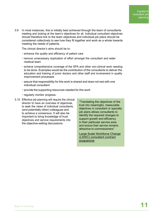3.9 In most instances, this is initially best achieved through the team of consultants meeting and looking at the team's objectives for all. Individual consultant objectives should therefore link to the team objectives and individual job plans should be considered collectively to see how they fit together and work as a whole towards meeting the needs of patients.

The clinical director's aims should be to:

- enhance the quality and efficiency of patient care
- remove unnecessary duplication of effort amongst the consultant and wider medical team
- achieve comprehensive coverage of the SPA and other non-clinical work needing to be done. Examples would be the contribution of the consultants to deliver the education and training of junior doctors and other staff and involvement in quality improvement processes
- assure that responsibility for this work is shared and does not rest with one individual consultant
- provide the supporting resources needed for this work
- regularly monitor progress.
- 3.10 Effective job planning will require the clinical director to have an overview of objectives, to seek the views of individual consultants, (and potentially other) colleagues and to achieve a consensus. It will also be important to bring knowledge of trust objectives and service requirements into the objective-setting discussions.

"Translating the objectives of the trust into meaningful, measurable objectives in consultant or specialty job plans allows consultants to identify the required changes to support growth and efficiency in their particular service area and ensure their service remains attractive to commissioners"

[Large Scale Workforce Change](http://www.nhsemployers.org/PlanningYourWorkforce/WorkforceProductivity/LSWC%202007-08%20programmes/Pages/The-consultant-contract-programme.aspx) [\(LSWC\) consultant contract](http://www.nhsemployers.org/PlanningYourWorkforce/WorkforceProductivity/LSWC%202007-08%20programmes/Pages/The-consultant-contract-programme.aspx) [programme](http://www.nhsemployers.org/PlanningYourWorkforce/WorkforceProductivity/LSWC%202007-08%20programmes/Pages/The-consultant-contract-programme.aspx)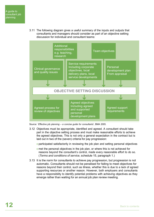3.11 The following diagram gives a useful summary of the inputs and outputs that consultants and managers should consider as part of an objective setting discussion for individual and consultant teams:



Source: '*Effective job planning – a concise guide for consultants*', BMA 2005.

- 3.12 Objectives must be appropriate, identified and agreed. A consultant should take part in the objective setting process and must make reasonable efforts to achieve the agreed objectives. This is not only a general expectation in the contract but is laid out in two of the (seven) criteria for pay progression:
	- o participated satisfactorily in reviewing the job plan and setting personal objectives
	- o met the personal objectives in the job plan, or where this is not achieved for reasons beyond the consultant's control, made every reasonable effort to do so. (*Terms and conditions of service*, schedule 15, paragraph 1.)
- 3.13 It is the norm for consultants to achieve pay progression, but progression is not automatic. Consultants should not be penalised for failing to meet objectives for reasons beyond their control, such as illness, whether this is due to a lack of agreed supporting resources or another reason. However, both employers and consultants have a responsibility to identify potential problems with achieving objectives as they emerge rather than waiting for an annual job plan review meeting.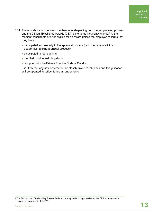- 3.14 There is also a link between the themes underpinning both the job planning process and the Clinical Excellence Awards (CEA) scheme as it currently stands.<sup>2</sup> At the moment consultants are not eligible for an award unless the employer confirms that they have:
	- participated successfully in the appraisal process (or in the case of clinical academics, a joint appraisal process)
	- participated in job planning
	- met their contractual obligations
	- complied with the Private Practice Code of Conduct.

It is likely that any new scheme will be closely linked to job plans and this guidance will be updated to reflect future arrangements.

<sup>2</sup> The Doctors and Dentists Pay Review Body is currently undertaking a review of the CEA scheme and is expected to report in July 2011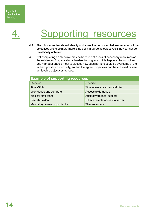<span id="page-16-0"></span>

### Supporting resources

- 4.1 The job plan review should identify and agree the resources that are necessary if the objectives are to be met. There is no point in agreeing objectives if they cannot be realistically achieved.
- 4.2 Not completing an objective may be because of a lack of necessary resources or the existence of organisational barriers to progress. If this happens the consultant and manager should meet to discuss how such barriers could be overcome at the earliest possible opportunity, so that the agreed objectives can be achieved or new achievable objectives agreed.

| <b>Example of supporting resources</b> |                                   |  |  |  |  |
|----------------------------------------|-----------------------------------|--|--|--|--|
| Generic                                | <b>Specific</b>                   |  |  |  |  |
| Time (SPAs)                            | Time – leave or external duties   |  |  |  |  |
| Workspace and computer                 | Access to database                |  |  |  |  |
| Medical staff team                     | Audit/governance support          |  |  |  |  |
| Secretarial/PA                         | Off site remote access to servers |  |  |  |  |
| Mandatory training opportunity         | Theatre access                    |  |  |  |  |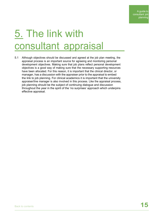# <span id="page-17-0"></span>5. The link with consultant appraisal

5.1 Although objectives should be discussed and agreed at the job plan meeting, the appraisal process is an important source for agreeing and monitoring personal development objectives. Making sure that job plans reflect personal development objectives is a good way of making sure that the necessary supporting resources have been allocated. For this reason, it is important that the clinical director, or manager, has a discussion with the appraiser prior to the appraisal to embed the link to job planning. For clinical academics it is important that the university appraiser/line manager is also involved in this process. Like the appraisal process, job planning should be the subject of continuing dialogue and discussion throughout the year in the spirit of the 'no surprises' approach which underpins effective appraisal.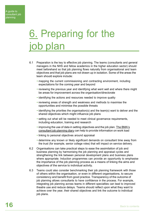# <span id="page-18-0"></span>6. Preparing for the job plan

- 6.1 Preparation is the key to effective job planning. The teams (consultants and general managers in the NHS and fellow academics in the higher education sector) should meet beforehand so that job planning flows naturally from organisational and team objectives and that job plans are not drawn up in isolation. Some of the areas the team should explore include:
	- mapping the current commissioning and contracting environment, including expectations for the coming year and beyond
	- reviewing the previous year and identifying what went well and where there might be areas for improvement across the organisation/directorate
	- identifying the actions and resources needed to improve quality
	- reviewing areas of strength and weakness and methods to maximise the opportunities and minimise the possible threats
	- identifying the priorities the organisation(s) and the team(s) want to deliver and the shared objectives which might influence job plans
	- setting out what will be needed to meet clinical governance requirements, including education, training and research
	- improving the use of data in setting objectives and the job plan. The [BMA's](http://www.bma.org.uk/employmentandcontracts/working_arrangements/job_planning/jobplanningdiaryversion6.jsp) [consultant](http://www.bma.org.uk/employmentandcontracts/working_arrangements/job_planning/jobplanningdiaryversion6.jsp) job planning diary can help to provide information on work load
	- •linking to personal objectives around appraisal
	- determine any known or likely significant demands on consultant time away from the trust (for example, senior college roles) that will impact on service delivery.
- 6.2 Organisations can take practical steps to ease the assimilation of job and business planning by harmonising the job planning and appraisal cycles and strengthening the link between personal development plans and business plans where appropriate. Induction programmes can provide an opportunity to emphasise the importance of the job planning process as a means of linking the aims and objectives of the service to individual activity.
- 6.3 Teams could also consider benchmarking their job planning framework with those of others within the organisation, or even in different organisations, to secure consistency and benefit from good practice. Transparency of the outcome of job planning allows consultants to have confidence in the process. For example, integrating job planning across teams in different specialties can lead to improved theatre use and reduce delays. Teams should reflect upon what they want to achieve over the year, their shared objectives and link the outcome to individual job plans.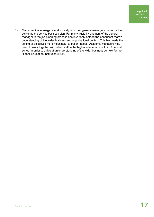6.4 Many medical managers work closely with their general manager counterpart in delivering the service business plan. For many trusts involvement of the general manager in the job planning process has invariably helped the consultant team's understanding of the wider business and organisational context. This has made the setting of objectives more meaningful to patient needs. Academic managers may need to work together with other staff in the higher education institution/medical school in order to arrive at an understanding of the wider business context for the Higher Education Institution (HEI).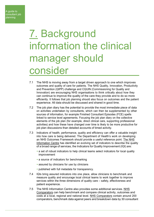# <span id="page-20-0"></span>7. Background information the clinical manager should consider

- 7.1 The NHS is moving away from a target driven approach to one which improves outcomes and quality of care for patients. The NHS Quality, Innovation, Productivity and Prevention (QIPP) challenge and CQUIN (Commissioning for Quality and Innovation) are encouraging NHS organisations to think critically about how they can continue to improve the quality of the care they provide and to do so more efficiently. It follows that job planning should also focus on outcomes and the patient experience. All data should be discussed and shared in good time.
- 7.2 The job plan diary has the potential to provide the most immediate piece of data on activities undertaken by consultants, which can then be supplemented by other sources of information, for example Finished Consultant Episodes (FCE) spells linked to service level agreements. Focusing the job plan diary on the collective elements of the job plan (for example, direct clinical care, supporting professional activities) and how these have changed over time is likely to be more productive for job plan discussions than detailed accounts of timed activity.
- 7.3 Indicators of health, performance, quality and efficiency can offer a valuable insight into how care is being delivered. The Department of Health's work on developing an NHS Outcomes Framework should provide a useful reference point. The [NHS](http://www.ic.nhs.uk/services/measuring-for-quality-improvement) [Information](http://www.ic.nhs.uk/services/measuring-for-quality-improvement) Centre has identified an evolving set of indicators to describe the quality of a broad range of services, the Indicators for Quality Improvement (IQI) are:
	- <sup>a</sup> set of robust indicators to help clinical teams select indicators for local quality improvement
	- a source of indicators for benchmarking
	- assured by clinicians for use by clinicians
	- published with full metadata for transparency.
- 7.4 IQIs bring assured indicators into one place, allow clinicians to benchmark and measure quality and encourage local clinical teams to work together to improve services within the three dimensions of quality care – safety, effectiveness and patient experience.
- 7.5 The NHS Information Centre also provides some additional services. [NHS](https://www.nhscomparators.nhs.uk/NHSComparators/Login.aspx) [Comparators](https://www.nhscomparators.nhs.uk/NHSComparators/Login.aspx) can help benchmark and compare clinical activity, outcomes and costs at a local, regional and national level. NHS [Comparators](https://www.nhscomparators.nhs.uk/NHSComparators/Login.aspx) contain around 200 comparators, benchmark data against peers and breakdown data by 30 consultant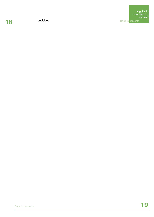**18** specialties. See Specialties. Back to [contents](#page-1-0) by the specialties.

A guide to consultant job planning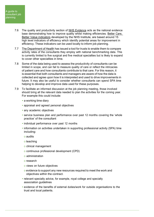- 7.6 The quality and productivity section of NHS [Evidence](http://www.evidence.nhs.uk/qipp) acts as the national evidence base demonstrating how to improve quality whilst making efficiencies. [Better](http://www.institute.nhs.uk/quality_and_value/high_volume_care/better_care_better_value_indicators.html) Care, [Better Value indicators](http://www.institute.nhs.uk/quality_and_value/high_volume_care/better_care_better_value_indicators.html) developed by the NHS Institute, are based around 15 high level indicators of efficiency which identify potential areas for improvement in efficiency. These indicators can be used locally to inform job planning.
- 7.7 The [Department](http://www.dh.gov.uk/prod_consum_dh/groups/dh_digitalassets/%40dh/%40en/documents/digitalasset/dh_082902.pdf) of Health has issued a tool for trusts to enable them to compare activity rates of the consultants they employ with national benchmarking data. This is currently limited to five surgical and five medical specialties but is likely to expand to cover other specialties in time.
- 7.8 Some of the data being used to assess the productivity of consultants can be limited in scope, and can fail to measure quality of care or reflect the intricacies of patient care and how consultants contribute to that care. For this reason, it is essential that both consultants and managers are aware of how the data is collected and agree upon how it is interpreted and used to drive improvements in future. It may also be useful to consider whether consultants can spend SPA time helping to develop and improve data used for these purposes.
- 7.9 To facilitate an informed discussion at the job planning meeting, those involved should bring all the relevant data needed to plan the activities for the coming year. For example this could include:
	- a working time diary
	- appraisal and agreed personal objectives
	- any academic objectives
	- service business plan and performance over past <sup>12</sup> months covering the 'whole practice' of the consultant
	- individual performance over past 12 months
	- information on activities undertaken in supporting professional activity (SPA) time including:
		- o audits
		- o teaching
		- o clinical management
		- o continuous professional development (CPD)
		- o administration
		- o research
		- o views on future objectives
		- o evidence to support any new resources required to meet the work and objectives within the contract.
	- relevant specialty advice, for example, royal college and specialty association guidelines
	- evidence of the benefits of external duties/work for outside organisations to the trust and local patients.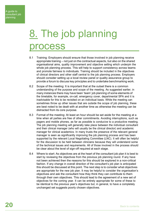# <span id="page-24-0"></span>8. The job planning process

- 8.1 Training: Employers should ensure that those involved in job planning receive appropriate training – not just on the contractual aspects, but also on the shared organisational aims, quality improvement and objective setting which underpin the whole job planning process. This will help to support consistency across teams and promote fairness to individuals. Training should be included in the objectives of clinical directors and other staff central to the job planning process. Employers should consider setting up a local review panel or quality assurance group to provide a forum to discuss key principles and to undertake benchmarking work.
- 8.2 Scope of the meeting: It is important that at the outset there is a common understanding of the purpose and scope of the meeting. As suggested earlier, in many instances there may have been 'team' job planning of some elements of the timetable, for example, on-call, emergency cover, departmental SPA and it is inadvisable for this to be revisited on an individual basis. While the meeting can sometimes throw up other issues that are outside the scope of job planning, these are best noted to be dealt with at another time as otherwise the meeting can be distracted from its core purpose.
- 8.3 Format of the meeting: At least an hour should be set aside for the meeting at a time when all parties are free of other commitments. Avoiding interruptions, such as pagers and mobile phones, as far as possible is conducive to a productive meeting. The job planning meeting will generally take place between the individual consultant and their clinical manager (who will usually be the clinical director) and academic manager for clinical academics. In many trusts the presence of the relevant general manager is seen as significantly improving the job planning process and has been supported by the relevant Local Negotiating Committee (LNC). It will often be helpful for the discussion to be held between clinicians because they will understand some of the technical issues and requirements. All of those involved in the process should be clear about the level of sign-off required at each stage.
- 8.4 Where to start: As objectives are at the heart of the consultant job plan it is best to start by reviewing the objectives from the previous job planning round. If any have not been achieved then the reasons for this should be explored in a non-critical fashion. If any change in overall direction of the consultant's job plan is anticipated this should be discussed at this point. The next step is to consider what objectives are appropriate for the new job plan. It may be helpful to consider the organisation's objectives and ask the consultant how they think they can contribute to them through their own objectives. This should lead to the agreement of a new set of objectives for the coming year. It can be entirely appropriate for some of these to be identical to the previous year's objectives but, in general, to have a completely unchanged set suggests poorly chosen objectives.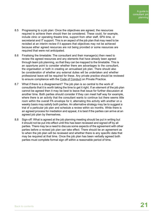- 8.5 Progressing to a job plan: Once the objectives are agreed, the resources required to achieve them should then be considered. These could, for example, include clinic or operating theatre time, support from other staff, SPA time, or secretarial and IT support. This is an aspect of the job plan that may need to be revisited at an interim review if it appears that objectives may not be achieved because either agreed resources are not being provided or some resources are required that were not anticipated.
- 8.6 Finalising the timetable: The consultant and their manager(s) then need to review the agreed resources and any elements that have already been agreed through team job planning, so that they can be mapped to the timetable. This is an opportune point to consider whether there are advantages to the consultant, the organisation or both in creating an annualised job plan. There should also be consideration of whether any external duties will be undertaken and whether professional leave will be required for these. Any private practice should be reviewed to ensure compliance with the Code of [Conduct](http://www.dh.gov.uk/en/Publicationsandstatistics/Publications/PublicationsPolicyAndGuidance/DH_085197) on Private Practice.
- 8.7 What if there is a disagreement? The job plan is so central to the work of consultants that it is worth taking the time to get it right. If an element of the job plan cannot be agreed then it may be best to leave that issue for further discussion at another time. Both parties should consider if they can meet half way for example, where there is an activity that the consultant wants to continue but there seems little room within the overall PA envelope for it, alternating this activity with another on a weekly basis may satisfy both parties. An alternative strategy may be to suggest a trial of a particular job plan and schedule a review within six months. While there is an agreed process for mediation and appeal, it is best if the parties can arrive at an agreed job plan by themselves.
- 8.8 Sign-off: What is agreed at the job planning meeting should be put in writing but it should not be put into effect until this has been reviewed and signed off by all parties. There may be a need to discuss some aspects of the agreement with other parties before a revised job plan can take effect. There should be an agreement as to when the job plan will be reviewed and whether there is any specific data that may be required at that time. Once the job plan has been verbally agreed both parties must complete formal sign off within a reasonable period of time.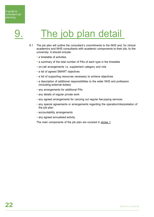<span id="page-26-0"></span>

# The job plan detail

- 9.1 The job plan will outline the consultant's commitments to the NHS and, for clinical academics and NHS consultants with academic components to their job, to the university. It should include:
	- <sup>a</sup> timetable of activities
	- <sup>a</sup> summary of the total number of PAs of each type in the timetable
	- on-call arrangements i.e. supplement category and rota
	- <sup>a</sup> list of agreed SMART objectives
	- <sup>a</sup> list of supporting resources necessary to achieve objectives
	- <sup>a</sup> description of additional responsibilities to the wider NHS and profession (including external duties)
	- any arrangements for additional PAs
	- any details of regular private work
	- any agreed arrangements for carrying out regular fee-paying services
	- any special agreements or arrangements regarding the operation/interpretation of the job plan
	- accountability arrangements
	- any agreed annualised activity.
	- The main components of the job plan are covered in [annex](#page-34-0) 1.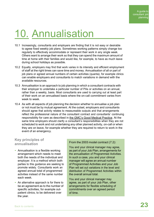# <span id="page-27-0"></span>10. Annualisation

- 10.1 Increasingly, consultants and employers are finding that it is not easy or desirable to agree fixed weekly job plans. Sometimes working patterns simply change too regularly to effectively accommodate or represent their work in any single week. Others want to arrange their work so that they can spend the maximum amount of time at home with their families and would like, for example, to have as much leave during school holidays as possible.
- 10.2 Equally, employers may find that work varies in its intensity and efficient employment of staff at the right times can save time and money. Annualisation of all or part of job plans or agreed annual numbers of certain activities (quanta), for example clinics can enable employers and consultants to match variations in demand with the available resources.
- 10.3 Annualisation is an approach to job planning in which a consultant contracts with their employer to undertake a particular number of PAs or activities on an annual, rather than a weekly, basis. Most consultants are used to carrying out at least part of their work on an annualised basis where the on-call commitment varies from week to week.
- 10.4 As with all aspects of job planning the decision whether to annualise a job plan or not must be by mutual agreement. At the outset, employers and consultants should agree that activity relates to measureable outputs and that arrangements reflect the professional nature of the consultant contract and consultants' continuing responsibility for care as described in [the GMC's Good Medical Practice. A](http://www.gmc-uk.org/guidance/good_medical_practice.asp)t the same time employers should clarify a consultant's responsibilities when they are not scheduled to work and not undertaking any other planned activity, on-call or when they are on leave, for example whether they are required to return to work in the event of an emergency.

### **Key principles of annualisation**

- Annualisation is a flexible working arrangement which needs to meet both the needs of the individual and employer. It is a method which both parties to this guidance are seeking to promote widely. Consultants work an agreed annual total of programmed activities instead of the same number each week.
- An alternative approach is for there to be an agreement as to the number of specific activities, for example outpatient clinics, to be delivered over the year.

#### From the 2003 model contract (7.2):

You and your clinical manager may agree, as part of your Job Plan, arrangements for the annualisation of Programmed Activities. In such a case, you and your clinical manager will agree an annual number of Programmed Activities and your Job Plan will set out variations in the level and distribution of Programmed Activities within the overall annual total.

You and your clinical manager may agree, as part of your Job Plan, other arrangements for flexible scheduling of commitments over an agreed period of time.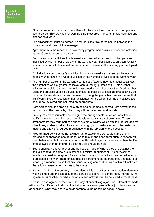- Either arrangement must be compatible with the consultant contract and job planning best practice. This provides for working time measured in programmable activities and also for paid leave.
- The arrangement must be agreed. As for job plans, this agreement is between the consultant and their clinical manager.
- Agreement must be reached on how many programmed activities or specific activities (quanta) are to be done in a year.
- For programmed activities this is usually expressed as a mean number per week multiplied by the number of weeks in the working year. For example, on a ten-PA fully annualised contract, this would be the number of weeks in the working year multiplied by ten.
- For individual components (e.g. clinics, lists) this is usually expressed as the number normally undertaken in a week multiplied by the number of weeks in the working year.
- The number of weeks in the working year is not a fixed number. It is equal to 52 less the number of weeks granted as leave (annual, study, professional). This number will vary for individuals and cannot be assumed to be 42 or any other fixed number. Using the previous year as a guide, it should be possible to estimate prospectively the number of weeks leave that will be taken. If during the year it becomes apparent that significantly more or less leave than anticipated will be taken then the annualised total should be reviewed and adjusted as appropriate.
- Both parties should agree on the outputs and outcomes expected from activity in the job plan, and the means by which they will be measured and reported.
- Employers and consultants should agree the arrangements by which consultants notify them when objectives or agreed levels of activity are not being met. These arrangements may form part of a wider system of review which tracks progress against objectives; is able to take into account changing circumstances and other external factors and allows for agreed modifications in the job plan where necessary.
- Programmed activities do not always run to exactly the scheduled time and a professional approach should be taken to this. In the short term such variances will often balance out but if an activity consistently lasts longer or for less time than the PA time allowed then an interim job plan review should be held.
- Both consultant and employer should keep an idea of where they are against their annualised total. In some circumstances, a minimum number of PAs per week or month may need to be agreed for annualised plans so that activity can be delivered in a predictable manner. There should also be agreement on the frequency and nature of reporting arrangements so that any issues arising can be dealt with within a timeframe that allows reasonable changes to be made.
- It is important that the delivery of annualised clinical activities aligns to patient demand/ waiting times and the capacity of the service to deliver. It is important, therefore, that agreement is reached on when the annualised activities will be delivered to meet these.

There is no one agreed or recommended way of annualising a job plan. Different methods will work for different situations. The following are examples of how job plans can be annualised. What they share is an adherence to the principles set out above.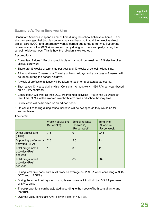### **Example A: Term time working**

Consultant A wishes to spend as much time during the school holidays at home. He or she then arranges their job plan on an annualised basis so that all their elective direct clinical care (DCC) and emergency work is carried out during term time. Supporting professional activities (SPAs) are worked partly during term time and partly during the school holiday periods. This is how the job plan is worked out:

#### Assumptions

- Consultant <sup>A</sup> does <sup>1</sup> PA of unpredictable on call work per week and 6.5 elective direct clinical care work.
- There are <sup>35</sup> weeks of term time per year and <sup>17</sup> weeks of school holiday time.
- All annual leave (6 weeks plus <sup>2</sup> weeks of bank holidays and extra days <sup>=</sup> <sup>8</sup> weeks) will be taken during the school holidays.
- <sup>A</sup> week of professional leave will be taken to teach on <sup>a</sup> postgraduate course.
- That leaves <sup>43</sup> weeks during which Consultant <sup>A</sup> must work <sup>430</sup> PAs per year (based on a 10 PA contract).
- Consultant <sup>A</sup> will work all their DCC programmed activities (PAs) in the <sup>35</sup> weeks of term time. SPAs will be worked over both term time and school holiday time.
- Study leave will be handled on an ad-hoc basis.
- On-call duties falling during school holidays will be swapped as they would be for annual leave.

|                                                  | Weekly equivalent<br>$(52$ weeks) | School holidays<br>$(18$ weeks)<br>(PA per week) | Term time<br>$(34 \text{ weeks})$<br>(PA per week) |
|--------------------------------------------------|-----------------------------------|--------------------------------------------------|----------------------------------------------------|
| Direct clinical care<br>(DCC)                    | 7.5                               | $\overline{0}$                                   | 9.45                                               |
| Supporting professional<br>activities (SPAs)     | 2.5                               | 3.5                                              | 1.4                                                |
| Total programmed<br>activities (PAs)<br>per week | 10                                | 3.5                                              | 11.9                                               |
| Total programmed<br>activities (PAs)<br>per year |                                   | 63                                               | 369                                                |

The detail

- During term time consultant <sup>A</sup> will work on average an 11.9 PA week consisting of 9.45 DCC and 1.4 SPAs.
- During the school holidays and during leave consultant <sup>A</sup> will do just 3.5 PA per week of SPAs only.
- These proportions can be adjusted according to the needs of both consultant A and the trust.
- Over the year, consultant <sup>A</sup> will deliver <sup>a</sup> total of <sup>432</sup> PAs.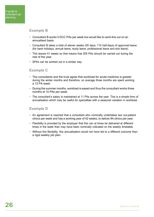### **Example B**

- Consultant B works 5 DCC PAs per week but would like to work this out on an annualised basis.
- Consultant <sup>B</sup> takes <sup>a</sup> total of eleven weeks (55 days; <sup>110</sup> half-days) of approved leave (for bank holidays, annual leave, study leave, professional leave and sick leave).
- This leaves <sup>41</sup> weeks so that means that <sup>205</sup> PAs should be carried out during the rest of the year.
- SPAs can be worked out in <sup>a</sup> similar way.

#### **Example C**

- The consultants and the trust agree that workload for acute medicine is greater during the winter months and therefore, on average three months are spent working a 12 PA week.
- During the summer months, workload is eased and thus the consultant works three months at 10 PAs per week.
- The consultant's salary is maintained at <sup>11</sup> PAs across the year. This is <sup>a</sup> simple form of annualisation which may be useful for specialties with a seasonal variation in workload.

#### **Example D**

- An agreement is reached that <sup>a</sup> consultant who nominally undertakes two out-patient clinics per week and has a working year of 42 weeks, to deliver 84 clinics per year.
- Flexibility is provided by the employer that this can at times be delivered at different times in the week than may have been nominally indicated on the weekly timetable.
- Without this flexibility, this annualisation would not have led to a different outcome than a rigid weekly job plan.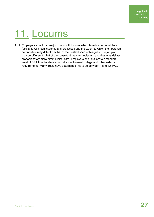# <span id="page-31-0"></span>11. Locums

11.1 Employers should agree job plans with locums which take into account their familiarity with local systems and processes and the extent to which their potential contribution may differ from that of their established colleagues. The job plan may be different to that of the consultant they are replacing, and they may deliver proportionately more direct clinical care. Employers should allocate a standard level of SPA time to allow locum doctors to meet college and other external requirements. Many trusts have determined this to be between 1 and 1.5 PAs.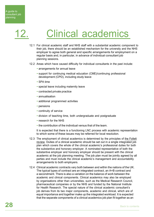<span id="page-32-0"></span>

- 12.1 For clinical academic staff and NHS staff with a substantial academic component to their job, there should be an established mechanism for the university and the NHS employer to agree both general and specific arrangements for employment on a regular basis and, in particular, in advance of individual consultant job planning sessions.
- 12.2 Areas which have caused difficulty for individual consultants in the past include:
	- arrangements for annual leave
	- support for continuing medical education (CME)/continuing professional development (CPD), including study leave
	- SPA time
	- special leave including maternity leave
	- contracted private practice
	- annualisation
	- additional programmed activities
	- pensions
	- continuity of service
	- division of teaching time, both undergraduate and postgraduate
	- research for the NHS
	- •the contribution of the individual versus that of the team.

It is expected that there is a functioning LNC process with academic representation to which some of these issues may be referred for local resolution.

- 12.3 The employment of clinical academics is determined by the principles of the [Follett](http://webarchive.nationalarchives.gov.uk/20060715145349/dfes.gov.uk/follettreview/) [review. D](http://webarchive.nationalarchives.gov.uk/20060715145349/dfes.gov.uk/follettreview/)uties of a clinical academic should be set out in a single integrated job plan which covers the whole of the clinical academic's professional duties for both the substantive and honorary employer. A nominated representative of both the substantive employer and honorary employer should be present with the clinical academic at the job planning meeting. The job plan must be jointly agreed by all parties and must include the clinical academic's management and accountability arrangements to both employers.
- 12.4 Clinical academic contracts vary both between and within the nations of the UK. The typical types of contract are an integrated contract, an A+B contract and a secondment. There is also a variation on the balance of work between the academic and clinical components. Clinical academics may also be employed by organisations other than universities, such as the Medical Research Council, pharmaceutical companies or by the NHS and funded by the National Institute for Health Research. The special nature of the clinical academic consultant's job derives from its two major components, academic and clinical, which are of equal importance and together make up the integrated workload. It is expected that the separate components of a clinical academics job plan fit together as an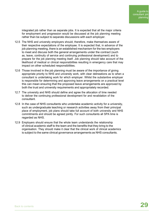integrated job rather than as separate jobs. It is expected that all the major criteria for employment and progression would be discussed at the job planning meeting rather than be subject to separate discussions with each employer.

- 12.5 The NHS and university employers should, therefore, make themselves aware of their respective expectations of the employee. It is expected that, in advance of the job planning meeting, there is an established mechanism for the two employers to meet and discuss both the general arrangements under the contract (such as, leave, continuity of service and continuing professional development) and to prepare for the job planning meeting itself. Job planning should take account of the likelihood of medical or clinical responsibilities resulting in emergency care that may impact on other scheduled responsibilities.
- 12.6 Those involved in the job planning must be aware of the importance of giving appropriate priority to NHS and university work, with clear delineations as to when a consultant is undertaking work for which employer. Whilst the substantive employer is responsible for determining and approving leave arrangements on a practical level this can mean ensuring that the proposed leave arrangements are approved by both the trust and university requirements and appropriately recorded.
- 12.7 The university and NHS should define and agree the allocation of time needed to deliver the continuing professional development for and revalidation of the consultant.
- 12.8 In the case of NHS consultants who undertake academic activity for a university, such as undergraduate teaching or research activities away from their principal place of employment, job plans should take full account of both university and NHS commitments and should be agreed jointly. For such consultants all SPA time is regarded as NHS.
- 12.9 Employers should ensure that the whole team understands the relationship of clinical academic staff to the team and the benefits that they bring to the organisation. They should make it clear that the clinical work of clinical academics is subject to the same clinical governance arrangements as NHS consultants.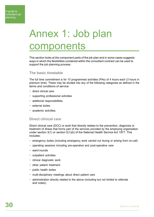# <span id="page-34-0"></span>Annex 1: Job plan components

This section looks at the component parts of the job plan and in some cases suggests ways in which the flexibilities contained within the consultant contract can be used to support the job planning process.

### **The basic timetable**

The full time commitment is for 10 programmed activities (PAs) of 4 hours each (3 hours in premium time). These may be divided into any of the following categories as defined in the terms and conditions of service:

- direct clinical care
- supporting professional activities
- additional responsibilities
- external duties
- academic activities.

#### **Direct clinical care**

Direct clinical care (DCC) is work that directly relates to the prevention, diagnosis or treatment of illness that forms part of the services provided by the employing organisation under section 3(1) or section 5(1)(b) of the National Health Service Act 1977. This includes:

- emergency duties (including emergency work carried out during or arising from on-call)
- operating sessions including pre-operative and post-operative care
- ward rounds
- outpatient activities
- clinical diagnostic work
- other patient treatment
- public health duties
- multi-disciplinary meetings about direct patient care
- administration directly related to the above (including but not limited to referrals and notes).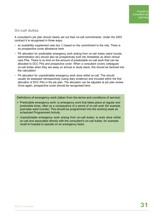### **On-call duties**

A consultant's job plan should clearly set out their on-call commitments. Under the 2003 contract it is recognised in three ways:

- an availability supplement (see box 1) based on the commitment to the rota. There is no prospective cover allowance here
- PA allocation for predictable emergency work arising from on-call duties (ward rounds, administration etc) should also be prospectively built into timetables as direct clinical care PAs. There is no limit on the amount of predictable on-call work that can be allocated to DCC PAs and prospective cover. When a consultant covers colleagues' on-call duties when they are away on annual or study leave, this should be factored into the calculation
- PA allocation for unpredictable emergency work done whilst on-call. This should usually be assessed retrospectively (using diary evidence) and included within the first allocation of DCC PAs in the job plan. The allocation can be adjusted at job plan review. Once again, prospective cover should be recognised here.

Definitions of emergency work (taken from the terms and conditions of service)

- Predictable emergency work: is emergency work that takes place at regular and predictable times, often as a consequence of a period of on-call work (for example, post-take ward rounds). This should be programmed into the working week as scheduled Programmed Activity.
- Unpredictable emergency work arising from on-call duties: is work done whilst on-call and associated directly with the consultant's on-call duties, for example recall to hospital to operate on an emergency basis.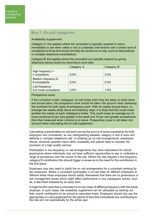### **Box 1. On-call categories**

#### Availability supplement

Category A: this applies where the consultant is typically required to return immediately to site when called or has to undertake interventions with a similar level of complexity to those that would normally be carried out on site, such as telemedicine or complex telephone consultations.

Category B: this applies where the consultant can typically respond by giving telephone advice and/or by returning to work later.

|                                         | Category A | <b>Category B</b> |
|-----------------------------------------|------------|-------------------|
| High frequency: 1-<br>4 consultants     | 8.0%       | 3.0%              |
| Medium frequency:5-<br>8 consultants    | 5.0%       | 2.0%              |
| Low frequency:<br>9 or more consultants | 3.0%       | 1.0%              |

#### Prospective cover

If the consultant covers colleagues' on-call duties when they are away on study leave and annual leave, this prospective cover should be taken into account when assessing the workload for both types of emergency work. With six weeks annual leave, on average two weeks study leave and statutory days, it is likely that this could mean another ten weeks of each colleague's duties. This could mean an average out of hours workload 24 per cent greater in the week and 18 per cent greater at weekends than that measured when nobody is on leave. Prospective cover is not taken into account when calculating the on-call supplement.

Calculating unpredictable on-call work can be the source of some uncertainty for both employers and consultants, as can distinguishing between category A and B work and defining a 'complex telephone call'. In drawing up on-call arrangements, employers should, wherever possible match skills, availability and patient need to maintain the provision of a high quality service.

Participation in low frequency on call arrangements may have implications for clinical governance where individuals may not have sufficient opportunities to see or undertake a range of procedures over the course of the rota. Where the rota requires a low frequency, category B contribution this should trigger a review as to the need for the contribution in the first place.

Employers may also need to clarify the on call arrangements for a consultant working for two employers. Where a consultant participates in on-call rotas for different employers at different times those employers should satisfy themselves that there are no governance or risk management issues which might affect performance in any subsequent activity, such as, a late finish followed by an early start.

It might be the case that a consultant is on two rotas of differing frequency with the same employer. In such cases, the availability supplement can be calculated by working out their overall contribution on an annual or equivalent basis. Employers should only pay the appropriate on-call supplement for the period of time that consultants are contributing to the rota and not automatically for the whole year.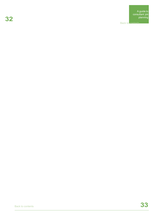**32**

Back to [contents](#page-1-0)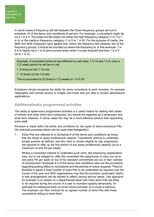In some cases a frequency will fall between the three frequency groups set out in schedule 16 of the terms and conditions of service. For example, a consultant might be on a 1 in 4.5. This does not fall neatly into either the high frequency category (1 in 1 to 1 in 4) or the medium frequency category (1 in 5 to 1 in 8). For the purpose of clarity, the BMA and NHS Employers have agreed that, where the frequency falls between two of the frequency groups, it should be rounded up where the frequency is, in this example, 1 in 4.5 or higher (ie to 1 in 4) and rounded down when it is less frequent that than 1 in 4.5 (ie to 1 in 5).

Example: A consultant works on two different on call rotas; 1 in 14 and 1 in 8, over a 112 week period he will be on call.

- 8 times on the 1:14 rota
- 14 times on the 1:8 rota

This is equivalent to 22 times in 112 weeks or 1 in 5.09.

Employers should recognise the ability for some consultants to work remotely, for example radiologists with remote access to images and those who are able to access telemedicine applications.

#### **Additional/extra programmed activities**

The ability to agree extra programmed activities is a useful means for dealing with peaks of activity and other short term pressures, but should be regarded as a temporary and short term measure. In some cases this may be a more effective solution than appointing extra staff.

Provision is made within the terms and conditions for two types of extra-contractual PAs (for practical purposes these can be used interchangeably):

1 Extra PAs are referred to in Schedule 6 of the terms and conditions as those that are linked to spare professional capacity. Consultants wishing to undertake private practice as defined, and who wish to remain eligible for pay progression, are required to offer up the first portion of any spare professional capacity (up to a maximum of one PA per week).

Where a consultant intends to undertake such work, the employing organisation may, but is not obliged to, offer the consultant the opportunity to carry out up to one extra PA per week on top of the standard commitment set out in their contract of employment. Schedule 6.2 of the terms and conditions sets out the provisions regarding putting offers to consultants and the periods of notice required. There is flexibility to agree a fixed number of extra PAs to be undertaken as required over the course of the year and NHS organisations may find this provision particularly helpful in that arrangements can be tailored to reflect varying service needs. One approach, for example, is to assess on a departmental basis how many extra PAs are likely to be required during the course of a year to increase capacity temporarily, for example for waiting list work; to cover clinics and lists; or to cover a vacancy. The employer can then contract for an agreed number of extra PAs with those consultants willing to work them.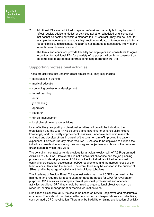2 Additional PAs are not linked to spare professional capacity but may be used to reflect regular, additional duties or activities (whether scheduled or unscheduled) that cannot be contained within a standard ten PA contract. They can be used, for example, to recognise an unusually high routine workload, or to recognise additional responsibilities. In this context "regular" is not intended to necessarily imply "at the same time each week or month".

The terms and conditions provide flexibility for employers and consultants to agree to contract for additional PAs for a variety of purposes, although no consultant can be compelled to agree to a contract containing more than 10 PAs.

### **Supporting professional activities**

These are activities that underpin direct clinical care. They may include:

- participation in training
- medical education
- continuing professional development
- formal teaching
- audit
- job planning
- appraisal
- research
- clinical management
- local clinical governance activities.

Used effectively, supporting professional activities will benefit the individual, the organisation and the wider NHS as consultants take time to enhance skills, extend knowledge, work on quality improvement initiatives, undertake academic research and lead and develop others in pursuit of the common aim of improving the patient experience. However, like any other resource, SPAs should be deployed to support the individual consultant in achieving their own agreed objectives and those of the team and organisation in which they work.

The consultant contract currently provides for a typical weekly split of 7.5 Programmed Activities to 2.5 SPAs. However this is not a universal allowance and the job planning process should develop a range of SPA activities for individuals linked to personal continuing professional development (CPD) requirements and the agreed needs of the team of consultants and the service. Therefore, there may be variation in the number of SPAs, and in the range of activity, within individual job plans.

The Academy of Medical Royal Colleges estimates that 1 to 1.5 SPAs per week is the minimum time required for a consultant to meet the needs for CPD for revalidation purposes. CPD activities encompass clinical, personal, professional and academic activities. Additional SPA time should be linked to organisational objectives, such as, research, clinical management or medical education roles.

Like direct clinical care, all SPAs should be based on SMART objectives and measurable outcomes. There should be clarity on the core content and expectations around activity, such as, audit, CPD, revalidation. There may be flexibility on timing and location of activity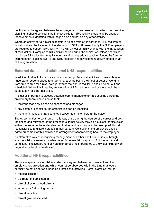but this must be agreed between the employer and the consultant in order to help service planning. It should be clear that time set aside for SPA activity should only be spent on those elements identified within the job plan and not on any other activity.

Where an activity for a clinical academic is funded from or, is part of an NHS requirement this should also be included in the allocation of SPAs. At present, only the NHS employers are required to support SPA activity. This will almost certainly change with the introduction of revalidation. Examples of NHS activity carried out in the clinical workplace and which require an SPA allocation may include clinical undergraduate teaching funded by Service Increment for Teaching (SIFT) and NHS research and development activity funded by an NHS organisation.

### **External duties and additional NHS responsibilities**

In addition to direct clinical care and supporting professional activities, consultants often have extra responsibilities to undertake, such as being a clinical director or working from time to time for a royal college. Where the work is regular, it should be set out and scheduled. Where it is irregular, an allocation of PAs can be agreed or there could be a substitution for other activities.

It is just as important to discuss potential commitment to external duties as part of the preliminary team discussion so that:

- the impact on service can be assessed and managed
- any potential benefits to the organisation can be identified
- there is fairness and transparency between team members at the outset.

The opportunities to contribute in this way arise during the course of a career and both the timing and relevance of the proposed external activity may be a subject for discussion within the team on the understanding that individuals may wish to take up additional responsibilities at different stages in their careers. Consultants and employers should agree outcomes for this activity and arrangements for reporting back to the employer.

An alternative way of recognising management and other additional duties is through a responsibility allowance payable under Schedule 16 paragraph 15 of the terms and conditions. The Department of Health endorses the importance to the wider NHS of work beyond local healthcare delivery.

### **Additional NHS responsibilities**

These are special responsibilities, which are agreed between a consultant and the employing organisation and which cannot be absorbed within the time that would normally be set aside for supporting professional activities. Some examples include:

- medical director
- a director of public health
- clinical director or lead clinician
- acting as a Caldicott guardian
- clinical audit lead
- clinical governance lead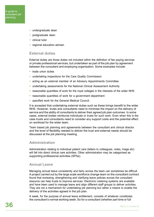- undergraduate dean
- postgraduate dean
- clinical tutor
- regional education adviser.

#### **External duties**

External duties are those duties not included within the definition of fee paying services or private professional services, but undertaken as part of the job plan by agreement between the consultant and employing organisation. Some examples include:

- trade union duties
- undertaking inspections for the Care Quality Commission
- acting as an external member of an Advisory Appointments Committee
- undertaking assessments for the National Clinical Assessment Authority
- reasonable quantities of work for the royal colleges in the interests of the wider NHS
- reasonable quantities of work for <sup>a</sup> government department
- specified work for the General Medical Council.

It is accepted that undertaking external duties such as these brings benefit to the wider NHS. However, trusts and consultants need to minimise the impact on the delivery of service and the ability of consultants to deliver their agreed job plan outcomes. In some cases, external bodies reimburse individuals or trusts for such work. Even when this is the case trusts and consultants need to consider any support costs and the potential effect on workload for the wider team.

Team based job planning and agreements between the consultant and clinical director and the level of flexibility needed to deliver the trust and external needs should be discussed at the job planning meeting.

#### **Administration**

Administration relating to individual patient care (letters to colleagues, notes, triage etc) will fall into direct clinical care activities. Other administration may be categorised as supporting professional activities (SPAs).

#### **Annual Leave**

Managing annual leave consistently and fairly across the team can sometimes be difficult. A project carried out by the large scale workforce change team on the consultant contract found that reviewing, strengthening and clarifying leave policies across the consultant resource can help trusts to improve services. Electronic rostering systems are available and have been used to manage leave and align different staff groups to deliver activities. They are not a mechanism for undertaking job planning but rather a means to enable the delivery of the activities agreed in the job plan.

A week, for the purpose of annual leave entitlement, consists of whatever constitutes the consultant's normal working week. So for a consultant (whether part time or full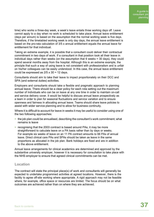time) who works a three-day week, a week's leave entails three working days off. Leave cannot apply to a day when no work is scheduled to take place. Annual leave entitlement (days per annum) is based on the assumption that the normal working week is five days. Therefore, if the timetabled working week is only day days, the annual leave entitlement is based on the pro-rata calculation of 3/5 x annual entitlement equals the annual leave for entitlement for that individual.

Taking an extreme example, it is possible that a consultant could deliver their contractual commitment in two days of work. If a consultant in that position took all their leave in individual days rather than weeks (on the assumption that 6 weeks = 30 days), they could spend several months away from the hospital. Although this is an extreme example, the principle that such a way of using leave is not consistent with professionalism and is unfair on his/her colleagues can be easily understood. In this case, the annual leave entitlement could be expressed as  $2/5 \times 30 = 12$  days.

Consultants should aim to take their leave to impact proportionately on their DCC and SPA (and external duties) activities.

Employers and consultants should take a flexible and pragmatic approach to planning annual leave. There should be a clear policy for each rota setting out the maximum number of individuals who can be on leave at any one time in order to maintain on-call and service delivery cover. It would be helpful to discuss annual leave prospectively as a team in order to plan for seasonal fluctuations and service variation and to ensure openness and fairness in allocating annual leave. Teams should share leave policies to assist with wider service planning and to allow for business continuity.

Where it is difficult to account for leave in weeks it may be useful to consider using one of the two following approaches:

- the job plan could be annualised, describing the consultant's work commitment; what remains is leave
- recognising that the 2003 contract is based around PAs, it may be more straightforward to calculate leave on a PA basis rather than by days or weeks. For example six weeks of leave on an 11 PA contract amounts to 66 PAs of annual leave. Direct clinical care PAs and SPAs should be taken as leave in the same proportions as allocated in the job plan. Bank holidays are fixed and are in addition to the above entitlement.

Annual leave arrangements for clinical academics are determined and approved by the substantive university employer, however it is necessary for consultation to take place with the NHS employer to ensure that agreed clinical commitments can be met.

#### **Location**

The contract will state the principal place(s) of work and consultants will generally be expected to undertake programmed activities at agreed locations. However, there is the facility to agree off-site working where appropriate. A rigid approach may not be feasible where, for example, office space or resources are limited. The focus should be on what outcomes are achieved rather than on where they are achieved.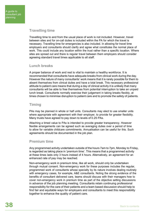### **Travelling time**

Travelling time to and from the usual place of work is not included. However, travel between sites and for on-call duties is included within the PA for which the travel is necessary. Travelling time for emergencies is also included. In allowing for travel time employers and consultants should clarify and agree what constitutes the normal place of work. This could include any location within the trust rather than a specific location. Where sites are spread out and there is regular travel between them employers should consider agreeing standard travel times applicable to all staff.

### **Lunch breaks**

A proper balance of work and rest is vital to maintain a healthy workforce. It is recommended that consultants have adequate breaks from clinical work during the day. However the nature of many consultants' work means that it is rarely possible for them to absent themselves from clinical duties and have a total break. This necessary professional attitude to patient care means that during a day of clinical activity it is unlikely that many consultants will be able to free themselves from potential interruption to take an unpaid lunch break. Consultants normally exercise their judgement in taking breaks flexibly, at times chosen to minimise disruption to patient care and to promote the safety of patients.

### **Timing**

PAs may be planned in whole or half units. Consultants may elect to use smaller units where appropriate with agreement with their employer, to provide for greater flexibility. Many trusts have agreed to pay down to levels of 0.25 PAs.

Attaching a timed value to PAs is intended to provide greater transparency. However flexible arrangements can be agreed such as averaging duties over a period of time to allow for variable childcare commitments. Annualisation can be useful for this. Such agreements should be documented in the job plan.

#### **Premium time**

Any programmed activity undertaken outside of the hours 7am to 7pm, Monday to Friday, is regarded as taking place in 'premium time'. This means that a programmed activity at these times lasts only 3 hours instead of 4 hours. Alternatively, an agreement for an enhanced rate of pay may be reached.

Non-emergency work in premium time, like all work, should only be undertaken through mutual consent. Non-emergency work for these purposes includes the regular, programmed work of consultants whose specialty by its nature involves dealing routinely with emergency cases, for example, A&E consultants. Noting the strong evidence of the benefits of consultant delivered care, teams should discuss with their managers how to cover non-emergency work in premium time as part of the objective setting discussions in advance of the job planning meeting. Consultants retain continuing professional responsibility for the care of their patients and a team based discussion should help to find fair and equitable ways for employers and consultants to meet this responsibility together to enhance the quality of patient care.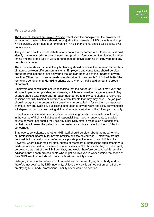#### **Private work**

The Code of [Conduct](http://www.dh.gov.uk/en/Publicationsandstatistics/Publications/PublicationsPolicyAndGuidance/DH_085197) on Private Practice established the principle that the provision of services for private patients should not prejudice the interests of NHS patients or disrupt NHS services. Other than in an emergency, NHS commitments should take priority over private work.

The job plan should include details of any private work carried out. Consultants should identify any regular private commitments and provide information on the planned location, timing and the broad type of work done to ease effective planning of NHS work and any out-of-hours cover.

The code also states that effective job planning should minimise the potential for conflicts of interest between different commitments. Employers and consultants should be clear about the implications of not delivering the job plan because of the impact of private practice. Other than in the circumstances described in paragraph 5 of Schedule 8 of the terms and conditions, undertaking private work when on-call could amount to breach of contract.

Employers and consultants should recognise that the nature of NHS work may vary and at times impact upon private commitments, which may have to change as a result. Any change should take place after a reasonable period to allow consultants to rearrange sessions and fulfil binding or contractual commitments that they may have. The job plan should recognise the potential for consultants to be called in for sudden, unexpected events if they are available. Successful integration of private work and NHS commitments will depend on both parties having all the information available on the full range of activity.

Except where immediate care is justified on clinical grounds, consultants should not, in the course of their NHS duties and responsibilities, make arrangements to provide private services, nor should they ask any other NHS staff to make such arrangements on their behalf unless the patient is to be treated as a private patient of the NHS facility concerned.

Employers, consultants and other NHS staff should be clear about the need to take out professional indemnity for private practice and fee paying work. Employers are not responsible for a health care professional's private practice, even in an NHS hospital. However, where junior medical staff, nurses or members of professions supplementary to medicine are involved in the care of private patients in NHS hospitals, they would normally be doing so as part of their NHS contract, and would therefore be covered. It remains advisable that health professionals who might be involved in work outside the scope of their NHS employment should have professional liability cover.

Category 2 work is by definition not undertaken for the employing NHS body and is therefore not covered by NHS indemnity. Unless the work is carried out on behalf of the employing NHS body, professional liability cover would be needed.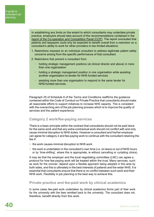In establishing any limits on the extent to which consultants may undertake private practice, employers should take account of the recommendations contained in the [report of the Co-operation and Competition Panel \(CCP\). T](http://www.ccpanel.org.uk/content/cases/nhs-consultants-non-contracted-hours/CCP_report_on_NCH_restrictions.pdf)he report concluded that patients and taxpayers could only be expected to benefit overall from a restriction on a consultant's ability to work for other providers in two limited situations:

- 1. Restrictions imposed on an individual consultant to address legitimate patient safety concerns arising from the specific performance of that consultant.
- 2. Restrictions that prevent a consultant from:
	- holding strategic management positions (at clinical director and above) in more than one organisation
	- holding <sup>a</sup> strategic management position in one organisation while assisting another organisation to tender for NHS funded services
	- assisting more than one organisation to respond to the same tender for NHS-funded services.

Paragraph 25 of Schedule 9 of the Terms and Conditions reaffirms the guidance contained within the Code of Conduct on Private Practice that consultants should make all reasonable efforts to support initiatives to increase NHS capacity. This is consistent with the overarching aim of the job planning process which is to improve the quality of services and the patient experience.

#### **Category 2 work/fee-paying services**

There is a basic principle within the contract that consultants should not be paid twice for the same work and that any extra-contractual work should not conflict with and only cause minimal disruption to NHS duties. However a consultant and his/her employer can agree for category 2 and fee-paying work to continue with the consultant retaining the fee if:

- the work causes minimal disruption to NHS work
- the work is undertaken in the consultant's own time (i.e. on leave or out of NHS hours or by 'time-shifting', where this is appropriate, ie without cancelling or curtailing clinics).

It may be that the employer and the local negotiating committee (LNC) can agree a protocol for how fee-paying work will be treated within the trust. Many services, such as work for the coroner, depend upon a flexible approach being adopted in this area by both sides, and this is ultimately in the best interests of patients and the wider NHS. It is essential that consultants ensure that there is no conflict between such work and their NHS work. Flexibility in job planning is the best way to achieve this.

#### **Private practice and fee-paid work by clinical academics**

In some cases fee-paid work undertaken by clinical academics forms part of their work for the university with the fees remitted back to the university. The consultant does not, therefore, benefit directly from this work.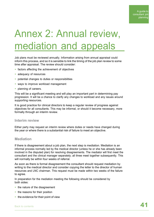# <span id="page-47-0"></span>Annex 2: Annual review, mediation and appeals

Job plans must be reviewed annually. Information arising from annual appraisal could inform this process, and so it is sensible to link the timing of the job plan review to some time after appraisal. The review should consider:

- factors affecting the achievement of objectives
- adequacy of resources
- potential changes to duties or responsibilities
- ways to improve workload management
- planning of careers.

This will be a significant meeting and will play an important part in determining pay progression. It will be a chance to clarify any changes to workload and any issues around supporting resources.

It is good practice for clinical directors to keep a regular review of progress against objectives for all consultants. This may be informal, or should it become necessary, more formally through an interim review.

#### **Interim review**

Either party may request an interim review where duties or needs have changed during the year or where there is a substantial risk of failure to meet an objective.

#### **Mediation**

If there is disagreement about a job plan, the next step is mediation. Mediation is an informal process normally led by the medical director (unless he or she has already been involved in the disputed plan) for resolving disagreements. The mediator will first meet the consultant and the clinical manager separately; all three meet together subsequently. This will normally be within four weeks of referral.

As soon as there is formal disagreement the consultant should request mediation by writing to the medical director and consider copying the letter to the director of human resources and LNC chairman. This request must be made within two weeks of the failure to agree.

In preparation for the mediation meeting the following should be considered by both sides:

- the nature of the disagreement
- the reasons for their position
- the evidence for their point of view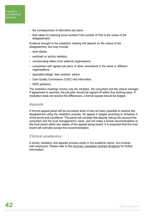- the consequences of alternative job plans
- their ideas for reducing hours worked if the number of PAs is the cause of the disagreement.

Evidence brought to the mediation meeting will depend on the nature of the disagreement, but may include:

- work diaries
- workload or activity statistics
- corroborating letters from external organisations
- comparison with agreed job plans of other consultants in the same or different organisations
- speciality/college 'best practice' advice
- Care Quality Commission (CQC) visit information
- NICE guidance.

The mediation meetings involve only the mediator, the consultant and the clinical manager. If agreement is reached, the job plan should be signed off within five working days. If mediation does not resolve the differences, a formal appeal should be lodged.

#### **Appeals**

A formal appeal panel will be convened when it has not been possible to resolve the disagreement using the mediation process. An appeal is lodged according to Schedule 4 of the terms and conditions. The panel will consider the dispute, taking into account the consultant and the trust management's views, and will make a formal recommendation to the trust board within two weeks of the appeal being heard. It is expected that the trust board will normally accept the recommendation.

### **Clinical academics**

A similar mediation and appeals process exists in the academic sector, but involves both employers. Please refer to the honorary [consultant](http://www.nhsemployers.org/SiteCollectionDocuments/Honorary_contract_version_5_010308_aw.pdf) contract (England) for further information.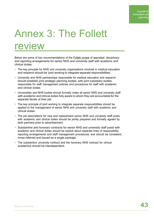# <span id="page-49-0"></span>Annex 3: The Follett review

Below are some of key recommendations of the Follett [review](http://webarchive.nationalarchives.gov.uk/20060715145349/dfes.gov.uk/follettreview/) of appraisal, disciplinary and reporting arrangements for senior NHS and university staff with academic and clinical duties:

- The key principle for NHS and university organisations involved in medical education and research should be 'joint working to integrate separate responsibilities'.
- University and NHS partnerships responsible for medical education and research should establish joint strategic planning bodies, with joint subsidiary bodies responsible for staff management policies and procedures for staff with academic and clinical duties.
- Universities and NHS bodies should formally make all senior NHS and university staff with academic and clinical duties fully aware to whom they are accountable for the separate facets of their job.
- The key principle of joint working to integrate separate responsibilities should be applied to the management of senior NHS and university staff with academic and clinical duties.
- The job descriptions for new and replacement senior NHS and university staff posts with academic and clinical duties should be jointly prepared and formally agreed by both partners prior to advertisement.
- Substantive and honorary contracts for senior NHS and university staff posts with academic and clinical duties should be explicit about separate lines of responsibility, reporting arrangements and staff management procedures, and should be consistent, cross-referred and issued as a single package.
- The substantive university contract and the honorary NHS contract for clinical academics should be interdependent.